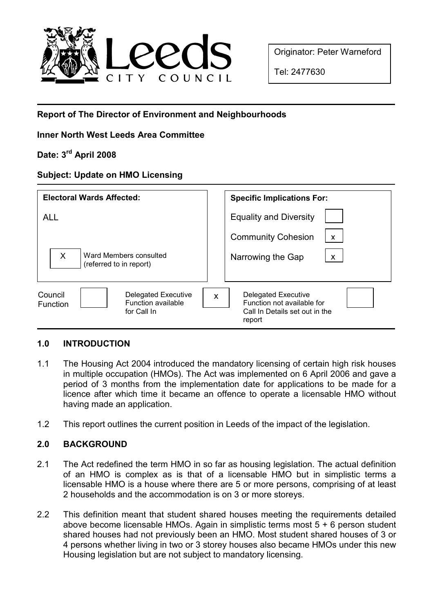

Originator: Peter Warneford

Tel: 2477630

# Report of The Director of Environment and Neighbourhoods

## Inner North West Leeds Area Committee

# Date: 3rd April 2008

#### Subject: Update on HMO Licensing

| <b>Electoral Wards Affected:</b>                                                              | <b>Specific Implications For:</b>                                                                  |
|-----------------------------------------------------------------------------------------------|----------------------------------------------------------------------------------------------------|
| <b>ALL</b>                                                                                    | <b>Equality and Diversity</b>                                                                      |
| $\times$<br>Ward Members consulted<br>(referred to in report)                                 | <b>Community Cohesion</b><br>$\mathsf{x}$<br>Narrowing the Gap<br>X                                |
| <b>Delegated Executive</b><br>Council<br>Function available<br><b>Function</b><br>for Call In | Delegated Executive<br>X<br>Function not available for<br>Call In Details set out in the<br>report |

## 1.0 INTRODUCTION

- 1.1 The Housing Act 2004 introduced the mandatory licensing of certain high risk houses in multiple occupation (HMOs). The Act was implemented on 6 April 2006 and gave a period of 3 months from the implementation date for applications to be made for a licence after which time it became an offence to operate a licensable HMO without having made an application.
- 1.2 This report outlines the current position in Leeds of the impact of the legislation.

## 2.0 BACKGROUND

- 2.1 The Act redefined the term HMO in so far as housing legislation. The actual definition of an HMO is complex as is that of a licensable HMO but in simplistic terms a licensable HMO is a house where there are 5 or more persons, comprising of at least 2 households and the accommodation is on 3 or more storeys.
- 2.2 This definition meant that student shared houses meeting the requirements detailed above become licensable HMOs. Again in simplistic terms most  $5 + 6$  person student shared houses had not previously been an HMO. Most student shared houses of 3 or 4 persons whether living in two or 3 storey houses also became HMOs under this new Housing legislation but are not subject to mandatory licensing.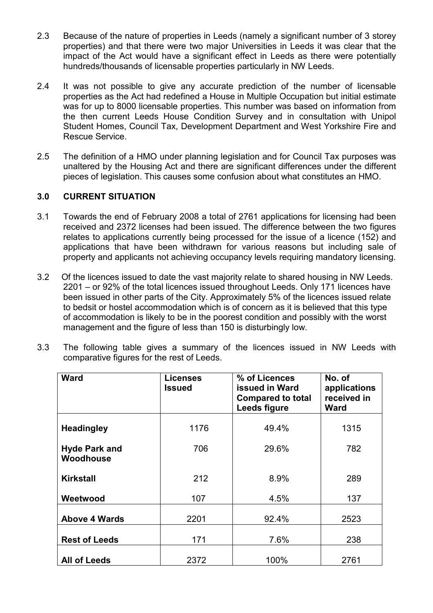- 2.3 Because of the nature of properties in Leeds (namely a significant number of 3 storey properties) and that there were two major Universities in Leeds it was clear that the impact of the Act would have a significant effect in Leeds as there were potentially hundreds/thousands of licensable properties particularly in NW Leeds.
- 2.4 It was not possible to give any accurate prediction of the number of licensable properties as the Act had redefined a House in Multiple Occupation but initial estimate was for up to 8000 licensable properties. This number was based on information from the then current Leeds House Condition Survey and in consultation with Unipol Student Homes, Council Tax, Development Department and West Yorkshire Fire and Rescue Service.
- 2.5 The definition of a HMO under planning legislation and for Council Tax purposes was unaltered by the Housing Act and there are significant differences under the different pieces of legislation. This causes some confusion about what constitutes an HMO.

## 3.0 CURRENT SITUATION

- 3.1 Towards the end of February 2008 a total of 2761 applications for licensing had been received and 2372 licenses had been issued. The difference between the two figures relates to applications currently being processed for the issue of a licence (152) and applications that have been withdrawn for various reasons but including sale of property and applicants not achieving occupancy levels requiring mandatory licensing.
- 3.2 Of the licences issued to date the vast majority relate to shared housing in NW Leeds. 2201 – or 92% of the total licences issued throughout Leeds. Only 171 licences have been issued in other parts of the City. Approximately 5% of the licences issued relate to bedsit or hostel accommodation which is of concern as it is believed that this type of accommodation is likely to be in the poorest condition and possibly with the worst management and the figure of less than 150 is disturbingly low.

| 3.3 | The following table gives a summary of the licences issued in NW Leeds with |  |  |  |  |  |  |  |  |  |  |  |  |
|-----|-----------------------------------------------------------------------------|--|--|--|--|--|--|--|--|--|--|--|--|
|     | comparative figures for the rest of Leeds.                                  |  |  |  |  |  |  |  |  |  |  |  |  |

| <b>Ward</b>                       | <b>Licenses</b><br>Issued | % of Licences<br><b>issued in Ward</b><br><b>Compared to total</b><br>Leeds figure | No. of<br>applications<br>received in<br><b>Ward</b> |
|-----------------------------------|---------------------------|------------------------------------------------------------------------------------|------------------------------------------------------|
| <b>Headingley</b>                 | 1176                      | 49.4%                                                                              | 1315                                                 |
| <b>Hyde Park and</b><br>Woodhouse | 706                       | 29.6%                                                                              | 782                                                  |
| <b>Kirkstall</b>                  | 212                       | 8.9%                                                                               | 289                                                  |
| Weetwood                          | 107                       | 4.5%                                                                               | 137                                                  |
| <b>Above 4 Wards</b>              | 2201                      | 92.4%                                                                              | 2523                                                 |
| <b>Rest of Leeds</b>              | 171                       | 7.6%                                                                               | 238                                                  |
| <b>All of Leeds</b>               | 2372                      | 100%                                                                               | 2761                                                 |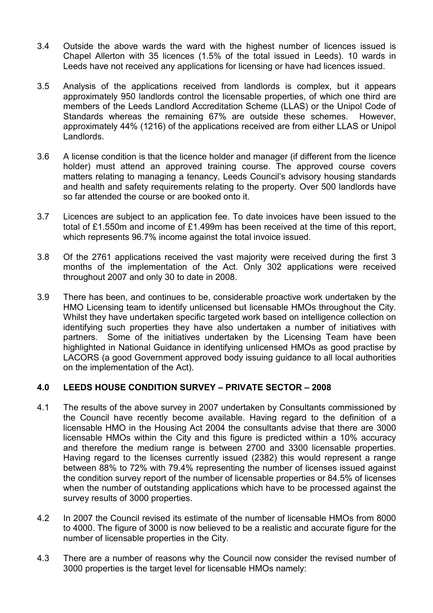- 3.4 Outside the above wards the ward with the highest number of licences issued is Chapel Allerton with 35 licences (1.5% of the total issued in Leeds). 10 wards in Leeds have not received any applications for licensing or have had licences issued.
- 3.5 Analysis of the applications received from landlords is complex, but it appears approximately 950 landlords control the licensable properties, of which one third are members of the Leeds Landlord Accreditation Scheme (LLAS) or the Unipol Code of Standards whereas the remaining 67% are outside these schemes. However, approximately 44% (1216) of the applications received are from either LLAS or Unipol Landlords.
- 3.6 A license condition is that the licence holder and manager (if different from the licence holder) must attend an approved training course. The approved course covers matters relating to managing a tenancy, Leeds Council's advisory housing standards and health and safety requirements relating to the property. Over 500 landlords have so far attended the course or are booked onto it.
- 3.7 Licences are subject to an application fee. To date invoices have been issued to the total of £1.550m and income of £1.499m has been received at the time of this report, which represents 96.7% income against the total invoice issued.
- 3.8 Of the 2761 applications received the vast majority were received during the first 3 months of the implementation of the Act. Only 302 applications were received throughout 2007 and only 30 to date in 2008.
- 3.9 There has been, and continues to be, considerable proactive work undertaken by the HMO Licensing team to identify unlicensed but licensable HMOs throughout the City. Whilst they have undertaken specific targeted work based on intelligence collection on identifying such properties they have also undertaken a number of initiatives with partners. Some of the initiatives undertaken by the Licensing Team have been highlighted in National Guidance in identifying unlicensed HMOs as good practise by LACORS (a good Government approved body issuing guidance to all local authorities on the implementation of the Act).

## 4.0 LEEDS HOUSE CONDITION SURVEY – PRIVATE SECTOR – 2008

- 4.1 The results of the above survey in 2007 undertaken by Consultants commissioned by the Council have recently become available. Having regard to the definition of a licensable HMO in the Housing Act 2004 the consultants advise that there are 3000 licensable HMOs within the City and this figure is predicted within a 10% accuracy and therefore the medium range is between 2700 and 3300 licensable properties. Having regard to the licenses currently issued (2382) this would represent a range between 88% to 72% with 79.4% representing the number of licenses issued against the condition survey report of the number of licensable properties or 84.5% of licenses when the number of outstanding applications which have to be processed against the survey results of 3000 properties.
- 4.2 In 2007 the Council revised its estimate of the number of licensable HMOs from 8000 to 4000. The figure of 3000 is now believed to be a realistic and accurate figure for the number of licensable properties in the City.
- 4.3 There are a number of reasons why the Council now consider the revised number of 3000 properties is the target level for licensable HMOs namely: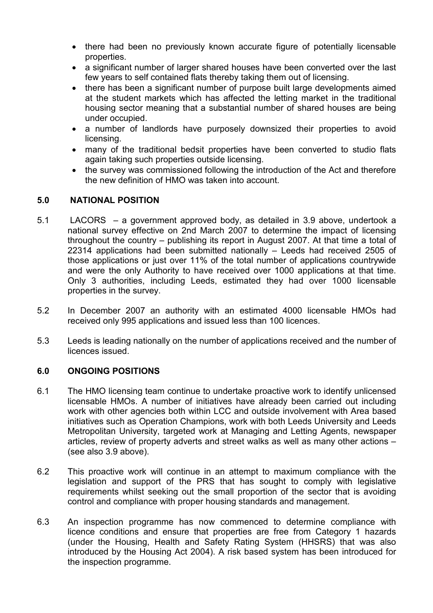- there had been no previously known accurate figure of potentially licensable properties.
- a significant number of larger shared houses have been converted over the last few years to self contained flats thereby taking them out of licensing.
- there has been a significant number of purpose built large developments aimed at the student markets which has affected the letting market in the traditional housing sector meaning that a substantial number of shared houses are being under occupied.
- a number of landlords have purposely downsized their properties to avoid licensing.
- many of the traditional bedsit properties have been converted to studio flats again taking such properties outside licensing.
- the survey was commissioned following the introduction of the Act and therefore the new definition of HMO was taken into account.

## 5.0 NATIONAL POSITION

- 5.1 LACORS a government approved body, as detailed in 3.9 above, undertook a national survey effective on 2nd March 2007 to determine the impact of licensing throughout the country – publishing its report in August 2007. At that time a total of 22314 applications had been submitted nationally – Leeds had received 2505 of those applications or just over 11% of the total number of applications countrywide and were the only Authority to have received over 1000 applications at that time. Only 3 authorities, including Leeds, estimated they had over 1000 licensable properties in the survey.
- 5.2 In December 2007 an authority with an estimated 4000 licensable HMOs had received only 995 applications and issued less than 100 licences.
- 5.3 Leeds is leading nationally on the number of applications received and the number of licences issued.

#### 6.0 ONGOING POSITIONS

- 6.1 The HMO licensing team continue to undertake proactive work to identify unlicensed licensable HMOs. A number of initiatives have already been carried out including work with other agencies both within LCC and outside involvement with Area based initiatives such as Operation Champions, work with both Leeds University and Leeds Metropolitan University, targeted work at Managing and Letting Agents, newspaper articles, review of property adverts and street walks as well as many other actions – (see also 3.9 above).
- 6.2 This proactive work will continue in an attempt to maximum compliance with the legislation and support of the PRS that has sought to comply with legislative requirements whilst seeking out the small proportion of the sector that is avoiding control and compliance with proper housing standards and management.
- 6.3 An inspection programme has now commenced to determine compliance with licence conditions and ensure that properties are free from Category 1 hazards (under the Housing, Health and Safety Rating System (HHSRS) that was also introduced by the Housing Act 2004). A risk based system has been introduced for the inspection programme.